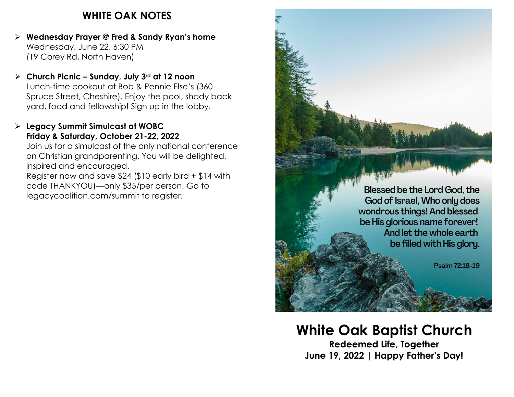## WHITE OAK NOTES

- $\triangleright$  Wednesday Prayer @ Fred & Sandy Ryan's home Wednesday, June 22, 6:30 PM (19 Corey Rd, North Haven)
- $\triangleright$  Church Picnic Sunday, July 3rd at 12 noon Lunch-time cookout at Bob & Pennie Else's (360 Spruce Street, Cheshire). Enjoy the pool, shady back yard, food and fellowship! Sign up in the lobby.
- $\triangleright$  Legacy Summit Simulcast at WOBC Friday & Saturday, October 21-22, 2022 Join us for a simulcast of the only national conference on Christian grandparenting. You will be delighted, inspired and encouraged. Register now and save \$24 (\$10 early bird + \$14 with code THANKYOU)—only \$35/per person! Go to legacycoalition.com/summit to register.



# White Oak Baptist Church

Redeemed Life, Together June 19, 2022 | Happy Father's Day!